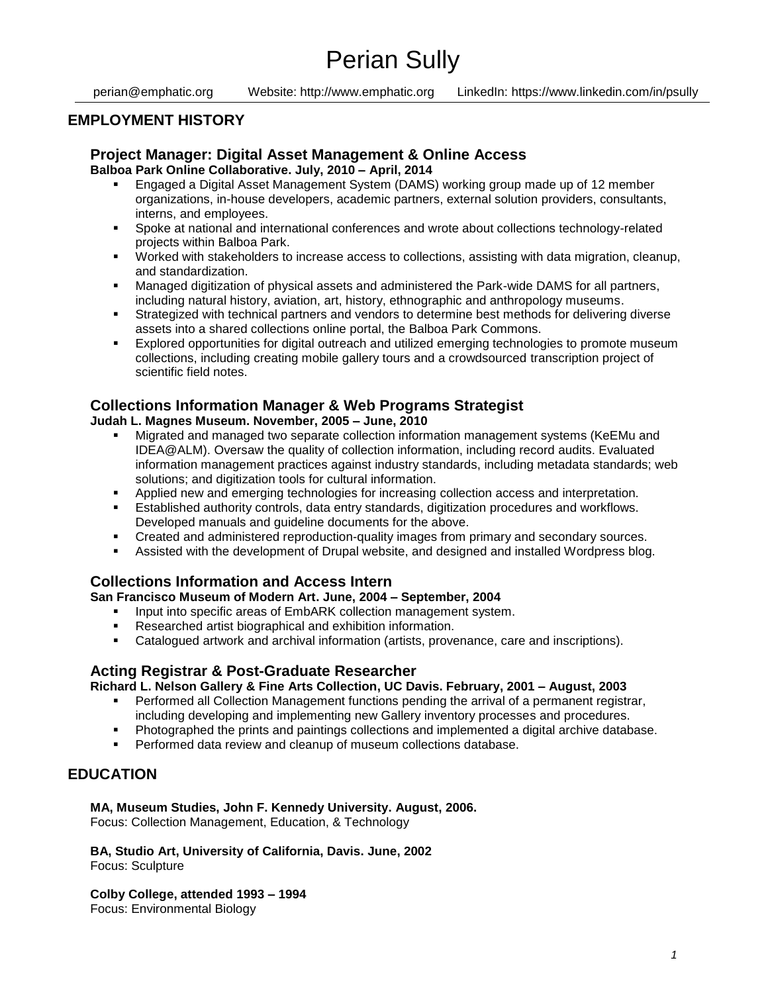perian@emphatic.org Website: http://www.emphatic.org LinkedIn: https://www.linkedin.com/in/psully

## **EMPLOYMENT HISTORY**

### **Project Manager: Digital Asset Management & Online Access Balboa Park Online Collaborative. July, 2010 – April, 2014**

- Engaged a Digital Asset Management System (DAMS) working group made up of 12 member organizations, in-house developers, academic partners, external solution providers, consultants, interns, and employees.
- Spoke at national and international conferences and wrote about collections technology-related projects within Balboa Park.
- Worked with stakeholders to increase access to collections, assisting with data migration, cleanup, and standardization.
- Managed digitization of physical assets and administered the Park-wide DAMS for all partners, including natural history, aviation, art, history, ethnographic and anthropology museums.
- Strategized with technical partners and vendors to determine best methods for delivering diverse assets into a shared collections online portal, the Balboa Park Commons.
- Explored opportunities for digital outreach and utilized emerging technologies to promote museum collections, including creating mobile gallery tours and a crowdsourced transcription project of scientific field notes.

## **Collections Information Manager & Web Programs Strategist**

#### **Judah L. Magnes Museum. November, 2005 – June, 2010**

- Migrated and managed two separate collection information management systems (KeEMu and IDEA@ALM). Oversaw the quality of collection information, including record audits. Evaluated information management practices against industry standards, including metadata standards; web solutions; and digitization tools for cultural information.
- Applied new and emerging technologies for increasing collection access and interpretation.
- Established authority controls, data entry standards, digitization procedures and workflows. Developed manuals and guideline documents for the above.
- Created and administered reproduction-quality images from primary and secondary sources.
- Assisted with the development of Drupal website, and designed and installed Wordpress blog.

## **Collections Information and Access Intern**

**San Francisco Museum of Modern Art. June, 2004 – September, 2004**

- **Input into specific areas of EmbARK collection management system.**
- Researched artist biographical and exhibition information.
- Catalogued artwork and archival information (artists, provenance, care and inscriptions).

## **Acting Registrar & Post-Graduate Researcher**

**Richard L. Nelson Gallery & Fine Arts Collection, UC Davis. February, 2001 – August, 2003**

- **Performed all Collection Management functions pending the arrival of a permanent registrar,** including developing and implementing new Gallery inventory processes and procedures.
- Photographed the prints and paintings collections and implemented a digital archive database.
- Performed data review and cleanup of museum collections database.

# **EDUCATION**

### **MA, Museum Studies, John F. Kennedy University. August, 2006.**

Focus: Collection Management, Education, & Technology

**BA, Studio Art, University of California, Davis. June, 2002** Focus: Sculpture

**Colby College, attended 1993 – 1994** Focus: Environmental Biology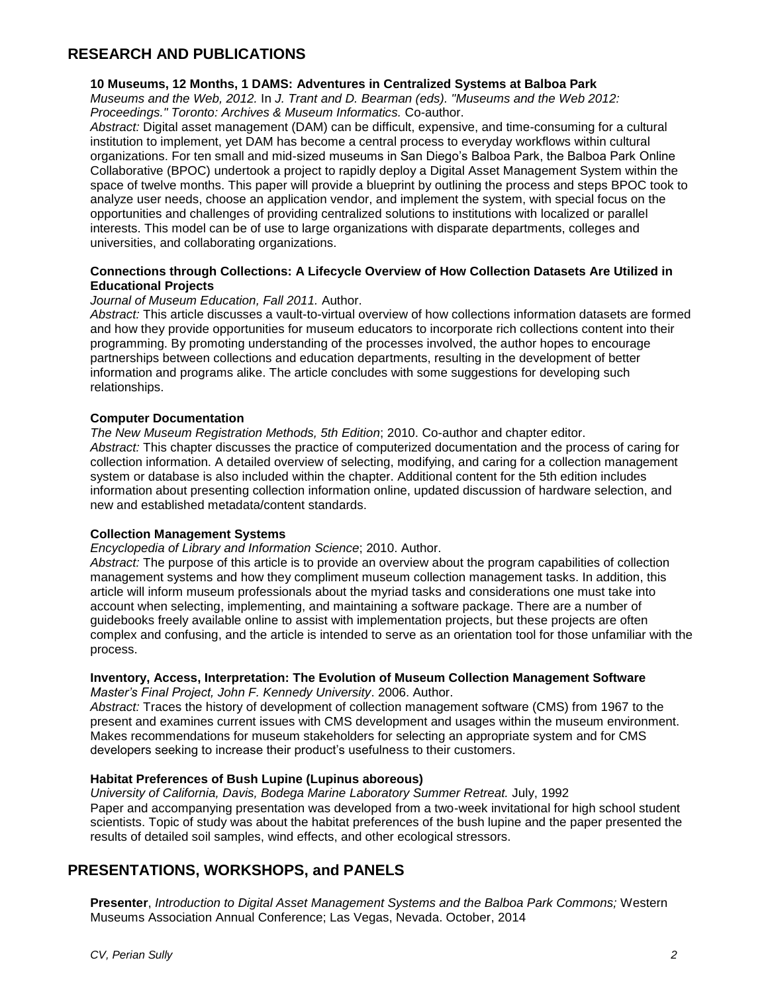# **RESEARCH AND PUBLICATIONS**

#### **10 Museums, 12 Months, 1 DAMS: Adventures in Centralized Systems at Balboa Park**

*Museums and the Web, 2012.* In *J. Trant and D. Bearman (eds). "Museums and the Web 2012: Proceedings." Toronto: Archives & Museum Informatics.* Co-author.

*Abstract:* Digital asset management (DAM) can be difficult, expensive, and time-consuming for a cultural institution to implement, yet DAM has become a central process to everyday workflows within cultural organizations. For ten small and mid-sized museums in San Diego's Balboa Park, the Balboa Park Online Collaborative (BPOC) undertook a project to rapidly deploy a Digital Asset Management System within the space of twelve months. This paper will provide a blueprint by outlining the process and steps BPOC took to analyze user needs, choose an application vendor, and implement the system, with special focus on the opportunities and challenges of providing centralized solutions to institutions with localized or parallel interests. This model can be of use to large organizations with disparate departments, colleges and universities, and collaborating organizations.

#### **Connections through Collections: A Lifecycle Overview of How Collection Datasets Are Utilized in Educational Projects**

#### *Journal of Museum Education, Fall 2011.* Author.

*Abstract:* This article discusses a vault-to-virtual overview of how collections information datasets are formed and how they provide opportunities for museum educators to incorporate rich collections content into their programming. By promoting understanding of the processes involved, the author hopes to encourage partnerships between collections and education departments, resulting in the development of better information and programs alike. The article concludes with some suggestions for developing such relationships.

#### **Computer Documentation**

*The New Museum Registration Methods, 5th Edition*; 2010. Co-author and chapter editor. *Abstract:* This chapter discusses the practice of computerized documentation and the process of caring for collection information. A detailed overview of selecting, modifying, and caring for a collection management system or database is also included within the chapter. Additional content for the 5th edition includes information about presenting collection information online, updated discussion of hardware selection, and new and established metadata/content standards.

#### **Collection Management Systems**

#### *Encyclopedia of Library and Information Science*; 2010. Author.

*Abstract:* The purpose of this article is to provide an overview about the program capabilities of collection management systems and how they compliment museum collection management tasks. In addition, this article will inform museum professionals about the myriad tasks and considerations one must take into account when selecting, implementing, and maintaining a software package. There are a number of guidebooks freely available online to assist with implementation projects, but these projects are often complex and confusing, and the article is intended to serve as an orientation tool for those unfamiliar with the process.

#### **Inventory, Access, Interpretation: The Evolution of Museum Collection Management Software**

*Master's Final Project, John F. Kennedy University*. 2006. Author.

*Abstract:* Traces the history of development of collection management software (CMS) from 1967 to the present and examines current issues with CMS development and usages within the museum environment. Makes recommendations for museum stakeholders for selecting an appropriate system and for CMS developers seeking to increase their product's usefulness to their customers.

#### **Habitat Preferences of Bush Lupine (Lupinus aboreous)**

*University of California, Davis, Bodega Marine Laboratory Summer Retreat.* July, 1992 Paper and accompanying presentation was developed from a two-week invitational for high school student scientists. Topic of study was about the habitat preferences of the bush lupine and the paper presented the results of detailed soil samples, wind effects, and other ecological stressors.

## **PRESENTATIONS, WORKSHOPS, and PANELS**

**Presenter**, *Introduction to Digital Asset Management Systems and the Balboa Park Commons;* Western Museums Association Annual Conference; Las Vegas, Nevada. October, 2014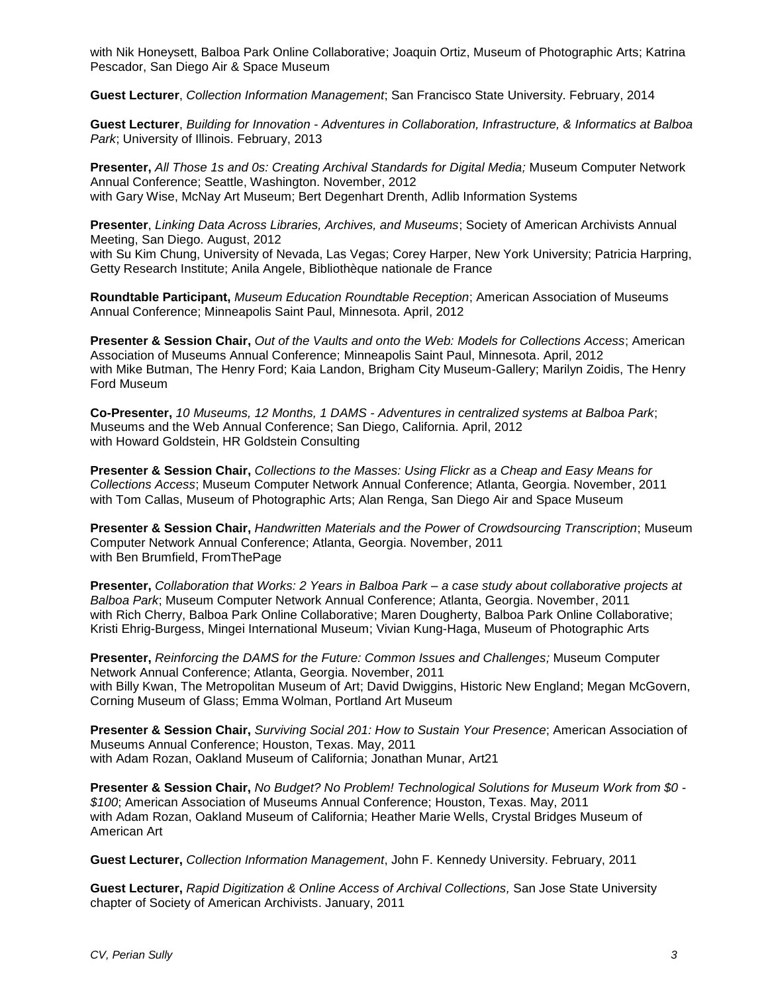with Nik Honeysett, Balboa Park Online Collaborative; Joaquin Ortiz, Museum of Photographic Arts; Katrina Pescador, San Diego Air & Space Museum

**Guest Lecturer**, *Collection Information Management*; San Francisco State University. February, 2014

**Guest Lecturer**, *Building for Innovation - Adventures in Collaboration, Infrastructure, & Informatics at Balboa Park*; University of Illinois. February, 2013

**Presenter,** *All Those 1s and 0s: Creating Archival Standards for Digital Media;* Museum Computer Network Annual Conference; Seattle, Washington. November, 2012 with Gary Wise, McNay Art Museum; Bert Degenhart Drenth, Adlib Information Systems

**Presenter**, *Linking Data Across Libraries, Archives, and Museums*; Society of American Archivists Annual Meeting, San Diego. August, 2012 with Su Kim Chung, University of Nevada, Las Vegas; Corey Harper, New York University; Patricia Harpring, Getty Research Institute; Anila Angele, Bibliothèque nationale de France

**Roundtable Participant,** *Museum Education Roundtable Reception*; American Association of Museums Annual Conference; Minneapolis Saint Paul, Minnesota. April, 2012

**Presenter & Session Chair,** *Out of the Vaults and onto the Web: Models for Collections Access*; American Association of Museums Annual Conference; Minneapolis Saint Paul, Minnesota. April, 2012 with Mike Butman, The Henry Ford; Kaia Landon, Brigham City Museum-Gallery; Marilyn Zoidis, The Henry Ford Museum

**Co-Presenter,** *10 Museums, 12 Months, 1 DAMS - Adventures in centralized systems at Balboa Park*; Museums and the Web Annual Conference; San Diego, California. April, 2012 with Howard Goldstein, HR Goldstein Consulting

**Presenter & Session Chair,** *Collections to the Masses: Using Flickr as a Cheap and Easy Means for Collections Access*; Museum Computer Network Annual Conference; Atlanta, Georgia. November, 2011 with Tom Callas, Museum of Photographic Arts; Alan Renga, San Diego Air and Space Museum

**Presenter & Session Chair,** *Handwritten Materials and the Power of Crowdsourcing Transcription*; Museum Computer Network Annual Conference; Atlanta, Georgia. November, 2011 with Ben Brumfield, FromThePage

**Presenter,** *Collaboration that Works: 2 Years in Balboa Park – a case study about collaborative projects at Balboa Park*; Museum Computer Network Annual Conference; Atlanta, Georgia. November, 2011 with Rich Cherry, Balboa Park Online Collaborative; Maren Dougherty, Balboa Park Online Collaborative; Kristi Ehrig-Burgess, Mingei International Museum; Vivian Kung-Haga, Museum of Photographic Arts

**Presenter,** *Reinforcing the DAMS for the Future: Common Issues and Challenges;* Museum Computer Network Annual Conference; Atlanta, Georgia. November, 2011 with Billy Kwan, The Metropolitan Museum of Art; David Dwiggins, Historic New England; Megan McGovern, Corning Museum of Glass; Emma Wolman, Portland Art Museum

**Presenter & Session Chair,** *Surviving Social 201: How to Sustain Your Presence*; American Association of Museums Annual Conference; Houston, Texas. May, 2011 with Adam Rozan, Oakland Museum of California; Jonathan Munar, Art21

**Presenter & Session Chair,** *No Budget? No Problem! Technological Solutions for Museum Work from \$0 - \$100*; American Association of Museums Annual Conference; Houston, Texas. May, 2011 with Adam Rozan, Oakland Museum of California; Heather Marie Wells, Crystal Bridges Museum of American Art

**Guest Lecturer,** *Collection Information Management*, John F. Kennedy University. February, 2011

**Guest Lecturer,** *Rapid Digitization & Online Access of Archival Collections,* San Jose State University chapter of Society of American Archivists. January, 2011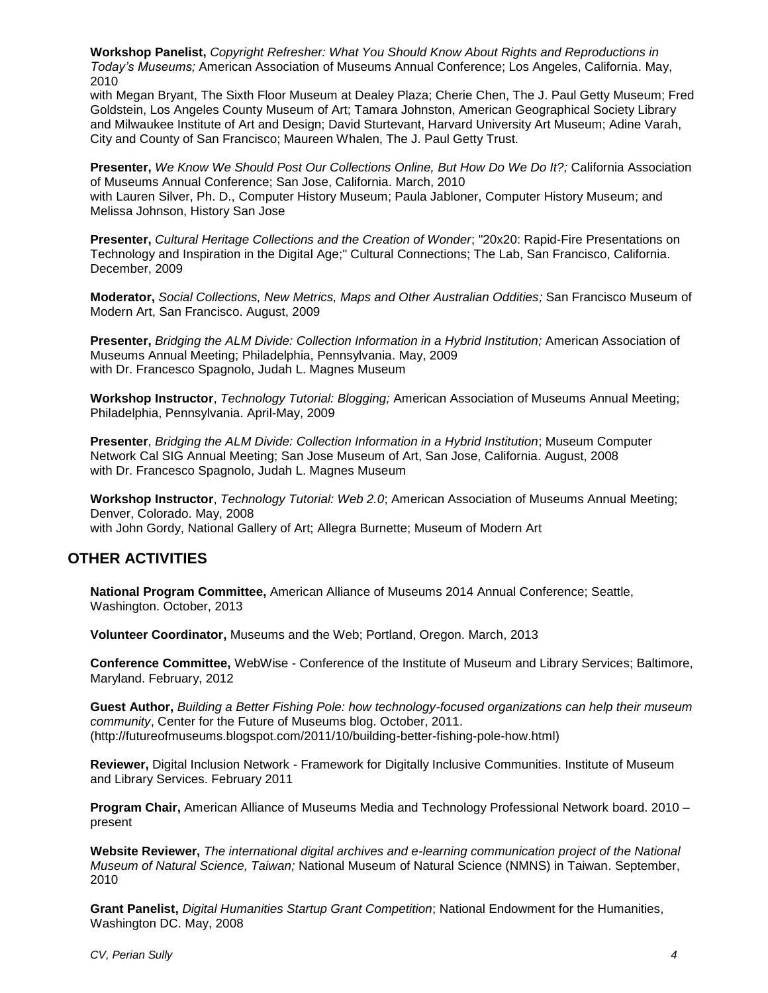**Workshop Panelist,** *Copyright Refresher: What You Should Know About Rights and Reproductions in Today's Museums;* American Association of Museums Annual Conference; Los Angeles, California. May, 2010

with Megan Bryant, The Sixth Floor Museum at Dealey Plaza; Cherie Chen, The J. Paul Getty Museum; Fred Goldstein, Los Angeles County Museum of Art; Tamara Johnston, American Geographical Society Library and Milwaukee Institute of Art and Design; David Sturtevant, Harvard University Art Museum; Adine Varah, City and County of San Francisco; Maureen Whalen, The J. Paul Getty Trust.

**Presenter,** *We Know We Should Post Our Collections Online, But How Do We Do It?;* California Association of Museums Annual Conference; San Jose, California. March, 2010 with Lauren Silver, Ph. D., Computer History Museum; Paula Jabloner, Computer History Museum; and Melissa Johnson, History San Jose

**Presenter,** *Cultural Heritage Collections and the Creation of Wonder*; "20x20: Rapid-Fire Presentations on Technology and Inspiration in the Digital Age;" Cultural Connections; The Lab, San Francisco, California. December, 2009

**Moderator,** *Social Collections, New Metrics, Maps and Other Australian Oddities;* San Francisco Museum of Modern Art, San Francisco. August, 2009

**Presenter,** *Bridging the ALM Divide: Collection Information in a Hybrid Institution;* American Association of Museums Annual Meeting; Philadelphia, Pennsylvania. May, 2009 with Dr. Francesco Spagnolo, Judah L. Magnes Museum

**Workshop Instructor**, *Technology Tutorial: Blogging;* American Association of Museums Annual Meeting; Philadelphia, Pennsylvania. April-May, 2009

**Presenter**, *Bridging the ALM Divide: Collection Information in a Hybrid Institution*; Museum Computer Network Cal SIG Annual Meeting; San Jose Museum of Art, San Jose, California. August, 2008 with Dr. Francesco Spagnolo, Judah L. Magnes Museum

**Workshop Instructor**, *Technology Tutorial: Web 2.0*; American Association of Museums Annual Meeting; Denver, Colorado. May, 2008 with John Gordy, National Gallery of Art; Allegra Burnette; Museum of Modern Art

# **OTHER ACTIVITIES**

**National Program Committee,** American Alliance of Museums 2014 Annual Conference; Seattle, Washington. October, 2013

**Volunteer Coordinator,** Museums and the Web; Portland, Oregon. March, 2013

**Conference Committee,** WebWise - Conference of the Institute of Museum and Library Services; Baltimore, Maryland. February, 2012

**Guest Author,** *Building a Better Fishing Pole: how technology-focused organizations can help their museum community*, Center for the Future of Museums blog. October, 2011. (http://futureofmuseums.blogspot.com/2011/10/building-better-fishing-pole-how.html)

**Reviewer,** Digital Inclusion Network - Framework for Digitally Inclusive Communities. Institute of Museum and Library Services. February 2011

**Program Chair,** American Alliance of Museums Media and Technology Professional Network board. 2010 – present

**Website Reviewer,** *The international digital archives and e-learning communication project of the National Museum of Natural Science, Taiwan;* National Museum of Natural Science (NMNS) in Taiwan. September, 2010

**Grant Panelist,** *Digital Humanities Startup Grant Competition*; National Endowment for the Humanities, Washington DC. May, 2008